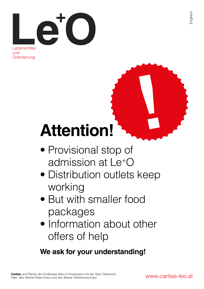

und **Orientierung** 

# **Attention!**

- Provisional stop of admission at Le+O
- Distribution outlets keep working
- But with smaller food packages
- Information about other offers of help

### **We ask for your understanding!**